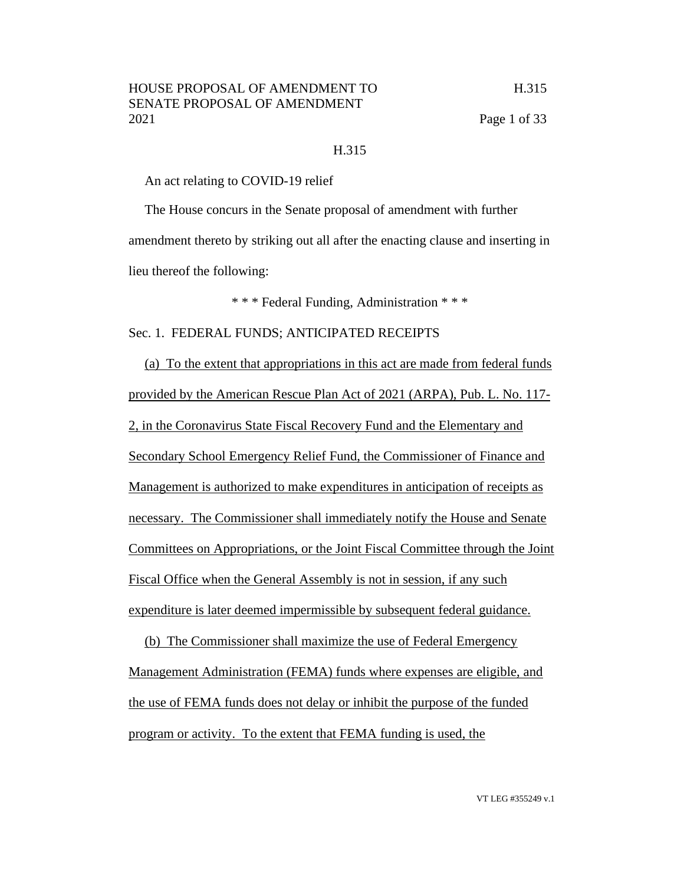#### H.315

An act relating to COVID-19 relief

The House concurs in the Senate proposal of amendment with further amendment thereto by striking out all after the enacting clause and inserting in lieu thereof the following:

\* \* \* Federal Funding, Administration \* \* \*

Sec. 1. FEDERAL FUNDS; ANTICIPATED RECEIPTS

(a) To the extent that appropriations in this act are made from federal funds provided by the American Rescue Plan Act of 2021 (ARPA), Pub. L. No. 117- 2, in the Coronavirus State Fiscal Recovery Fund and the Elementary and Secondary School Emergency Relief Fund, the Commissioner of Finance and Management is authorized to make expenditures in anticipation of receipts as necessary. The Commissioner shall immediately notify the House and Senate Committees on Appropriations, or the Joint Fiscal Committee through the Joint Fiscal Office when the General Assembly is not in session, if any such expenditure is later deemed impermissible by subsequent federal guidance.

(b) The Commissioner shall maximize the use of Federal Emergency Management Administration (FEMA) funds where expenses are eligible, and the use of FEMA funds does not delay or inhibit the purpose of the funded program or activity. To the extent that FEMA funding is used, the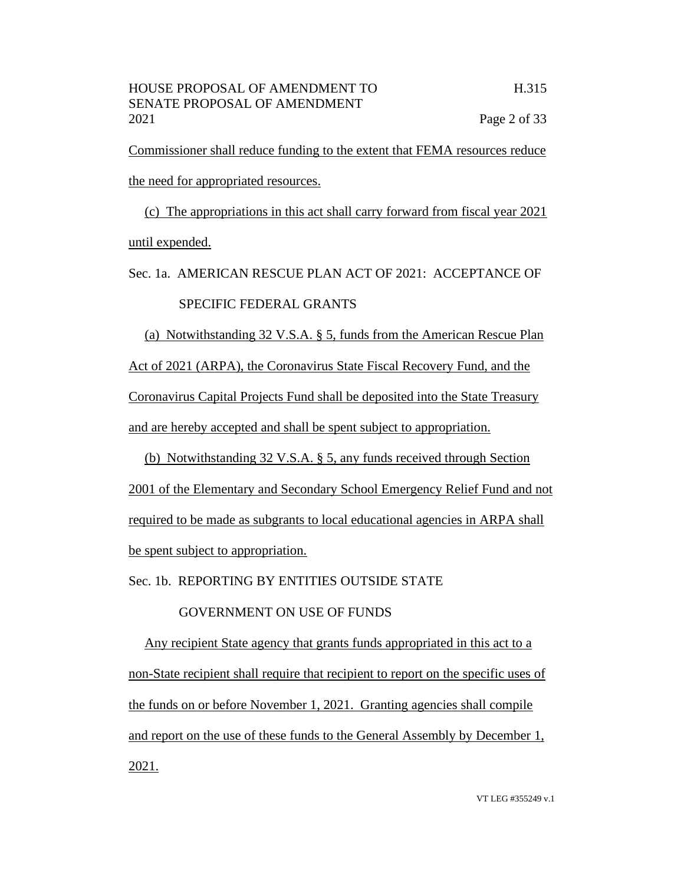Commissioner shall reduce funding to the extent that FEMA resources reduce the need for appropriated resources.

(c) The appropriations in this act shall carry forward from fiscal year 2021 until expended.

Sec. 1a. AMERICAN RESCUE PLAN ACT OF 2021: ACCEPTANCE OF SPECIFIC FEDERAL GRANTS

(a) Notwithstanding 32 V.S.A. § 5, funds from the American Rescue Plan Act of 2021 (ARPA), the Coronavirus State Fiscal Recovery Fund, and the Coronavirus Capital Projects Fund shall be deposited into the State Treasury and are hereby accepted and shall be spent subject to appropriation.

(b) Notwithstanding 32 V.S.A. § 5, any funds received through Section 2001 of the Elementary and Secondary School Emergency Relief Fund and not required to be made as subgrants to local educational agencies in ARPA shall be spent subject to appropriation.

Sec. 1b. REPORTING BY ENTITIES OUTSIDE STATE

GOVERNMENT ON USE OF FUNDS

Any recipient State agency that grants funds appropriated in this act to a non-State recipient shall require that recipient to report on the specific uses of the funds on or before November 1, 2021. Granting agencies shall compile and report on the use of these funds to the General Assembly by December 1, 2021.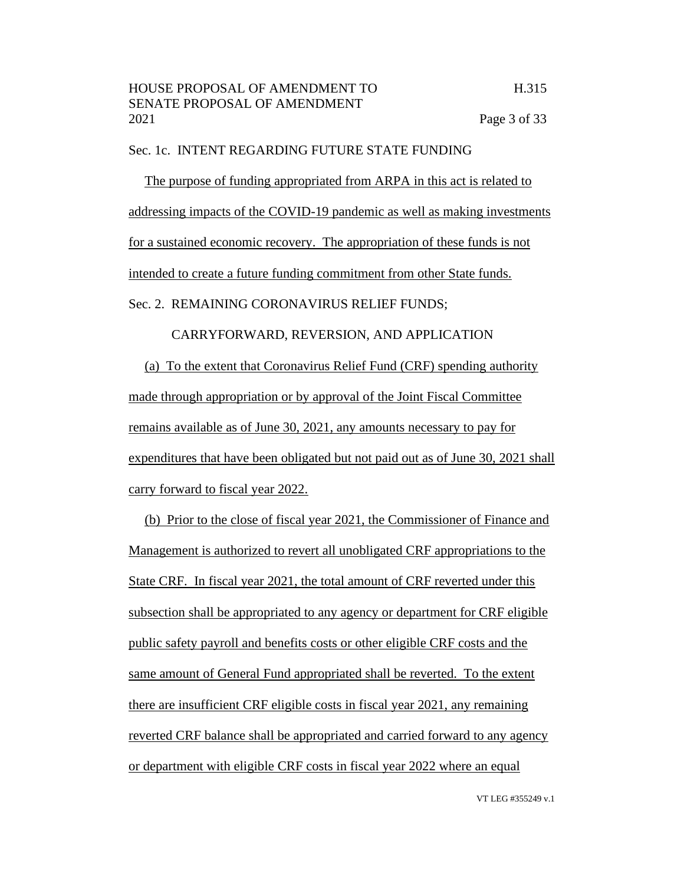#### Sec. 1c. INTENT REGARDING FUTURE STATE FUNDING

The purpose of funding appropriated from ARPA in this act is related to addressing impacts of the COVID-19 pandemic as well as making investments for a sustained economic recovery. The appropriation of these funds is not intended to create a future funding commitment from other State funds.

Sec. 2. REMAINING CORONAVIRUS RELIEF FUNDS;

# CARRYFORWARD, REVERSION, AND APPLICATION

(a) To the extent that Coronavirus Relief Fund (CRF) spending authority made through appropriation or by approval of the Joint Fiscal Committee remains available as of June 30, 2021, any amounts necessary to pay for expenditures that have been obligated but not paid out as of June 30, 2021 shall carry forward to fiscal year 2022.

(b) Prior to the close of fiscal year 2021, the Commissioner of Finance and Management is authorized to revert all unobligated CRF appropriations to the State CRF. In fiscal year 2021, the total amount of CRF reverted under this subsection shall be appropriated to any agency or department for CRF eligible public safety payroll and benefits costs or other eligible CRF costs and the same amount of General Fund appropriated shall be reverted. To the extent there are insufficient CRF eligible costs in fiscal year 2021, any remaining reverted CRF balance shall be appropriated and carried forward to any agency or department with eligible CRF costs in fiscal year 2022 where an equal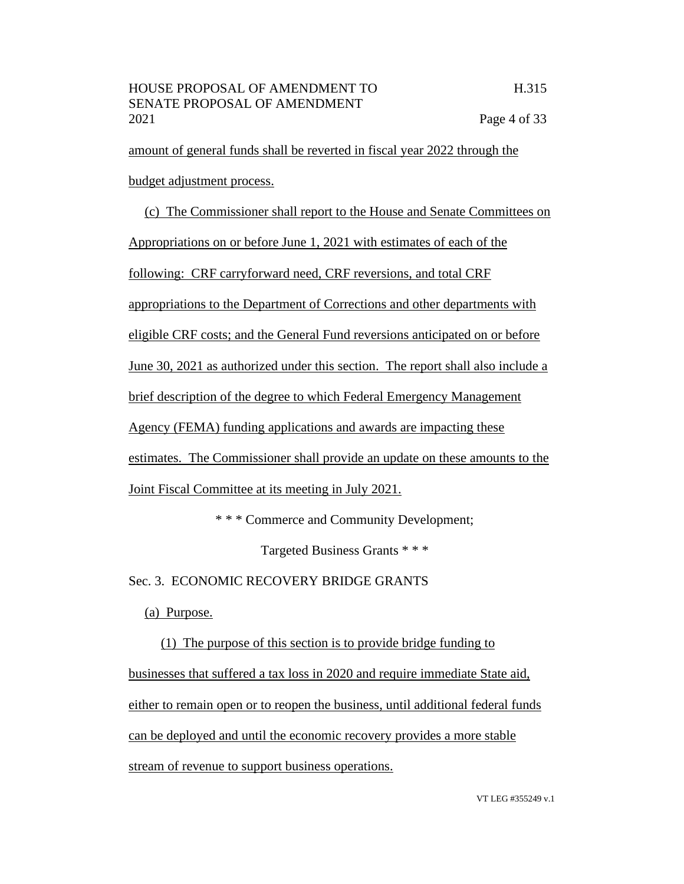amount of general funds shall be reverted in fiscal year 2022 through the budget adjustment process.

(c) The Commissioner shall report to the House and Senate Committees on Appropriations on or before June 1, 2021 with estimates of each of the following: CRF carryforward need, CRF reversions, and total CRF appropriations to the Department of Corrections and other departments with eligible CRF costs; and the General Fund reversions anticipated on or before June 30, 2021 as authorized under this section. The report shall also include a brief description of the degree to which Federal Emergency Management Agency (FEMA) funding applications and awards are impacting these estimates. The Commissioner shall provide an update on these amounts to the Joint Fiscal Committee at its meeting in July 2021.

\* \* \* Commerce and Community Development;

Targeted Business Grants \* \* \*

Sec. 3. ECONOMIC RECOVERY BRIDGE GRANTS

(a) Purpose.

(1) The purpose of this section is to provide bridge funding to businesses that suffered a tax loss in 2020 and require immediate State aid, either to remain open or to reopen the business, until additional federal funds can be deployed and until the economic recovery provides a more stable stream of revenue to support business operations.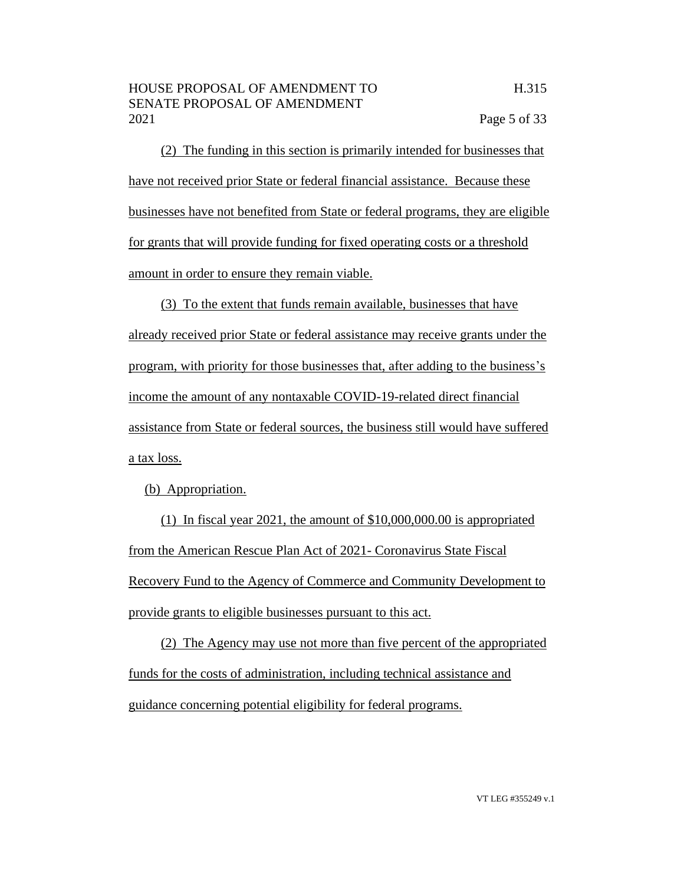(2) The funding in this section is primarily intended for businesses that have not received prior State or federal financial assistance. Because these businesses have not benefited from State or federal programs, they are eligible for grants that will provide funding for fixed operating costs or a threshold amount in order to ensure they remain viable.

(3) To the extent that funds remain available, businesses that have already received prior State or federal assistance may receive grants under the program, with priority for those businesses that, after adding to the business's income the amount of any nontaxable COVID-19-related direct financial assistance from State or federal sources, the business still would have suffered a tax loss.

(b) Appropriation.

(1) In fiscal year 2021, the amount of \$10,000,000.00 is appropriated from the American Rescue Plan Act of 2021- Coronavirus State Fiscal Recovery Fund to the Agency of Commerce and Community Development to provide grants to eligible businesses pursuant to this act.

(2) The Agency may use not more than five percent of the appropriated funds for the costs of administration, including technical assistance and guidance concerning potential eligibility for federal programs.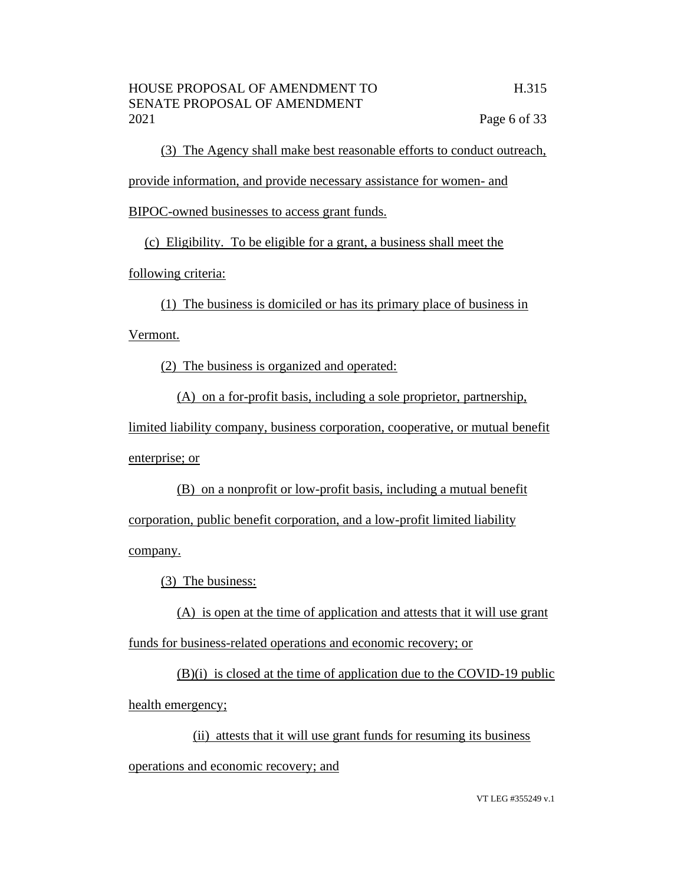(3) The Agency shall make best reasonable efforts to conduct outreach, provide information, and provide necessary assistance for women- and BIPOC-owned businesses to access grant funds.

(c) Eligibility. To be eligible for a grant, a business shall meet the

following criteria:

(1) The business is domiciled or has its primary place of business in

Vermont.

(2) The business is organized and operated:

(A) on a for-profit basis, including a sole proprietor, partnership,

limited liability company, business corporation, cooperative, or mutual benefit enterprise; or

(B) on a nonprofit or low-profit basis, including a mutual benefit corporation, public benefit corporation, and a low-profit limited liability company.

(3) The business:

(A) is open at the time of application and attests that it will use grant funds for business-related operations and economic recovery; or

(B)(i) is closed at the time of application due to the COVID-19 public health emergency;

(ii) attests that it will use grant funds for resuming its business operations and economic recovery; and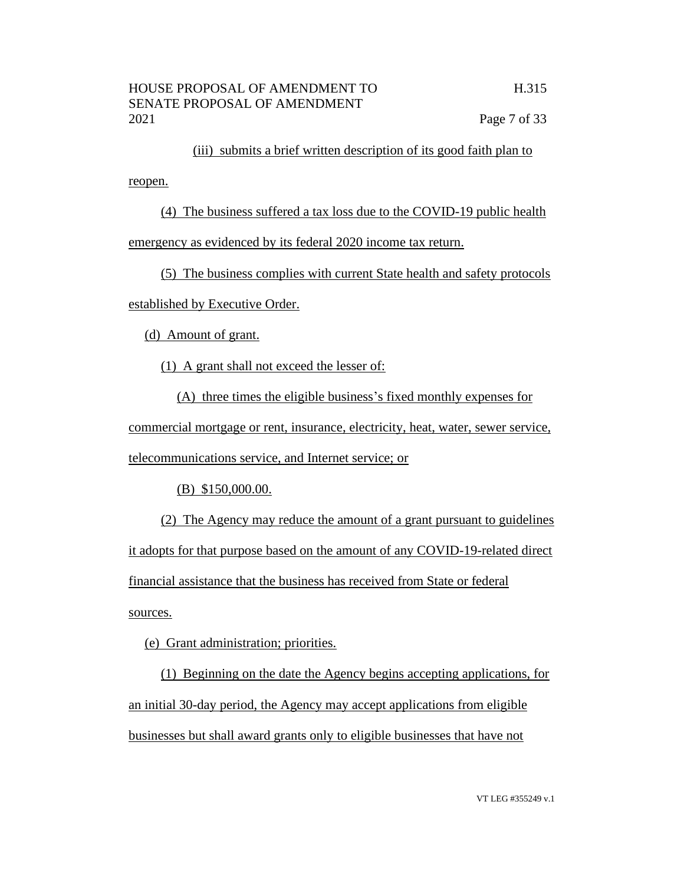(iii) submits a brief written description of its good faith plan to

reopen.

(4) The business suffered a tax loss due to the COVID-19 public health

emergency as evidenced by its federal 2020 income tax return.

(5) The business complies with current State health and safety protocols

established by Executive Order.

(d) Amount of grant.

(1) A grant shall not exceed the lesser of:

(A) three times the eligible business's fixed monthly expenses for

commercial mortgage or rent, insurance, electricity, heat, water, sewer service, telecommunications service, and Internet service; or

(B) \$150,000.00.

(2) The Agency may reduce the amount of a grant pursuant to guidelines it adopts for that purpose based on the amount of any COVID-19-related direct financial assistance that the business has received from State or federal sources.

(e) Grant administration; priorities.

(1) Beginning on the date the Agency begins accepting applications, for an initial 30-day period, the Agency may accept applications from eligible businesses but shall award grants only to eligible businesses that have not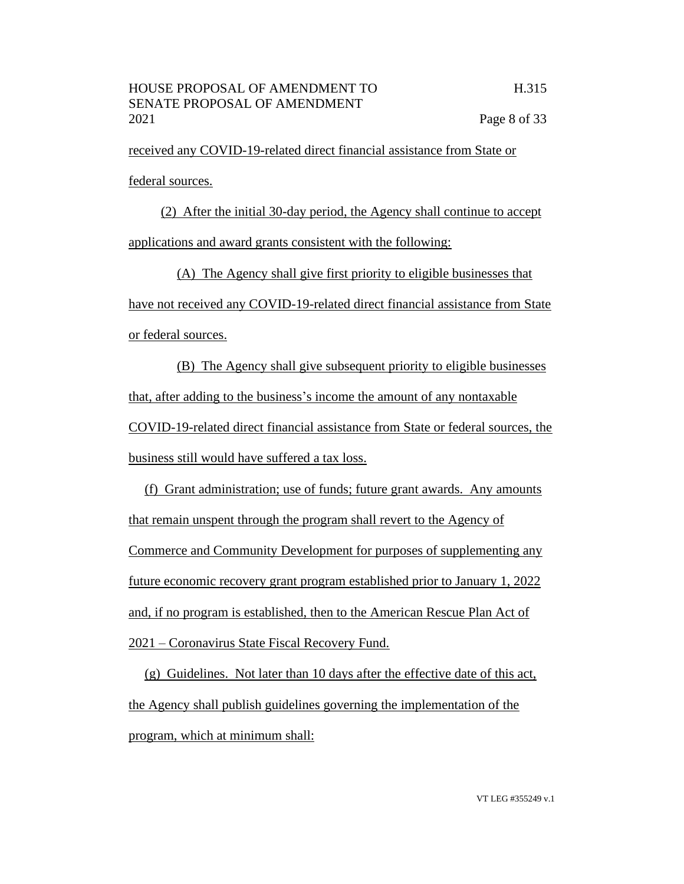received any COVID-19-related direct financial assistance from State or federal sources.

(2) After the initial 30-day period, the Agency shall continue to accept applications and award grants consistent with the following:

(A) The Agency shall give first priority to eligible businesses that have not received any COVID-19-related direct financial assistance from State or federal sources.

(B) The Agency shall give subsequent priority to eligible businesses that, after adding to the business's income the amount of any nontaxable COVID-19-related direct financial assistance from State or federal sources, the business still would have suffered a tax loss.

(f) Grant administration; use of funds; future grant awards. Any amounts that remain unspent through the program shall revert to the Agency of Commerce and Community Development for purposes of supplementing any future economic recovery grant program established prior to January 1, 2022 and, if no program is established, then to the American Rescue Plan Act of 2021 – Coronavirus State Fiscal Recovery Fund.

(g) Guidelines. Not later than 10 days after the effective date of this act, the Agency shall publish guidelines governing the implementation of the program, which at minimum shall: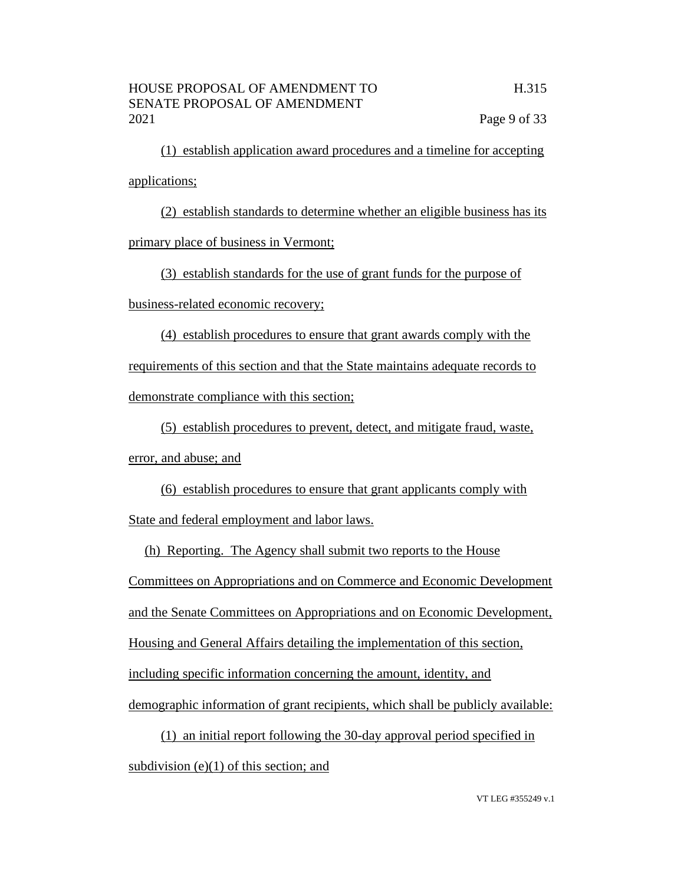(1) establish application award procedures and a timeline for accepting applications;

(2) establish standards to determine whether an eligible business has its primary place of business in Vermont;

(3) establish standards for the use of grant funds for the purpose of

business-related economic recovery;

(4) establish procedures to ensure that grant awards comply with the requirements of this section and that the State maintains adequate records to demonstrate compliance with this section;

(5) establish procedures to prevent, detect, and mitigate fraud, waste,

error, and abuse; and

(6) establish procedures to ensure that grant applicants comply with State and federal employment and labor laws.

(h) Reporting. The Agency shall submit two reports to the House Committees on Appropriations and on Commerce and Economic Development and the Senate Committees on Appropriations and on Economic Development, Housing and General Affairs detailing the implementation of this section, including specific information concerning the amount, identity, and demographic information of grant recipients, which shall be publicly available:

(1) an initial report following the 30-day approval period specified in subdivision (e)(1) of this section; and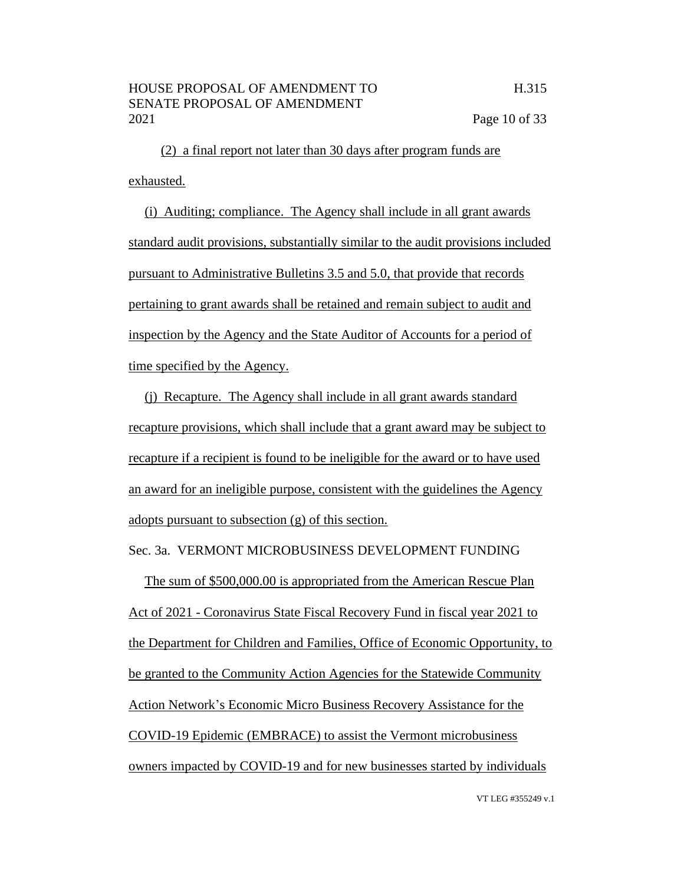(2) a final report not later than 30 days after program funds are exhausted.

(i) Auditing; compliance. The Agency shall include in all grant awards standard audit provisions, substantially similar to the audit provisions included pursuant to Administrative Bulletins 3.5 and 5.0, that provide that records pertaining to grant awards shall be retained and remain subject to audit and inspection by the Agency and the State Auditor of Accounts for a period of time specified by the Agency.

(j) Recapture. The Agency shall include in all grant awards standard recapture provisions, which shall include that a grant award may be subject to recapture if a recipient is found to be ineligible for the award or to have used an award for an ineligible purpose, consistent with the guidelines the Agency adopts pursuant to subsection (g) of this section.

Sec. 3a. VERMONT MICROBUSINESS DEVELOPMENT FUNDING

The sum of \$500,000.00 is appropriated from the American Rescue Plan Act of 2021 - Coronavirus State Fiscal Recovery Fund in fiscal year 2021 to the Department for Children and Families, Office of Economic Opportunity, to be granted to the Community Action Agencies for the Statewide Community Action Network's Economic Micro Business Recovery Assistance for the COVID-19 Epidemic (EMBRACE) to assist the Vermont microbusiness owners impacted by COVID-19 and for new businesses started by individuals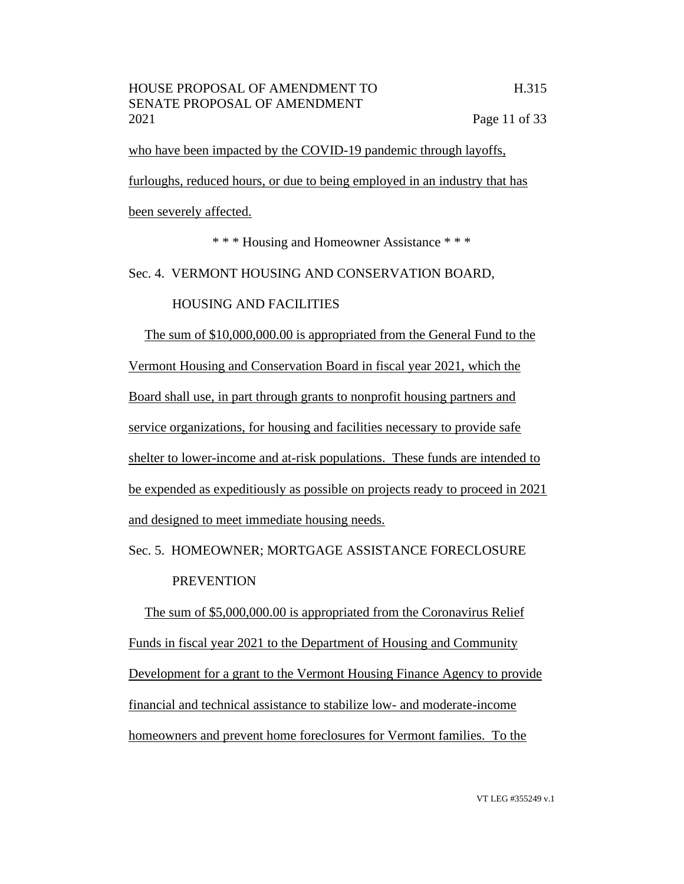who have been impacted by the COVID-19 pandemic through layoffs,

furloughs, reduced hours, or due to being employed in an industry that has

been severely affected.

\* \* \* Housing and Homeowner Assistance \* \* \*

Sec. 4. VERMONT HOUSING AND CONSERVATION BOARD,

# HOUSING AND FACILITIES

The sum of \$10,000,000.00 is appropriated from the General Fund to the Vermont Housing and Conservation Board in fiscal year 2021, which the Board shall use, in part through grants to nonprofit housing partners and service organizations, for housing and facilities necessary to provide safe shelter to lower-income and at-risk populations. These funds are intended to be expended as expeditiously as possible on projects ready to proceed in 2021 and designed to meet immediate housing needs.

Sec. 5. HOMEOWNER; MORTGAGE ASSISTANCE FORECLOSURE PREVENTION

The sum of \$5,000,000.00 is appropriated from the Coronavirus Relief Funds in fiscal year 2021 to the Department of Housing and Community Development for a grant to the Vermont Housing Finance Agency to provide financial and technical assistance to stabilize low- and moderate-income homeowners and prevent home foreclosures for Vermont families. To the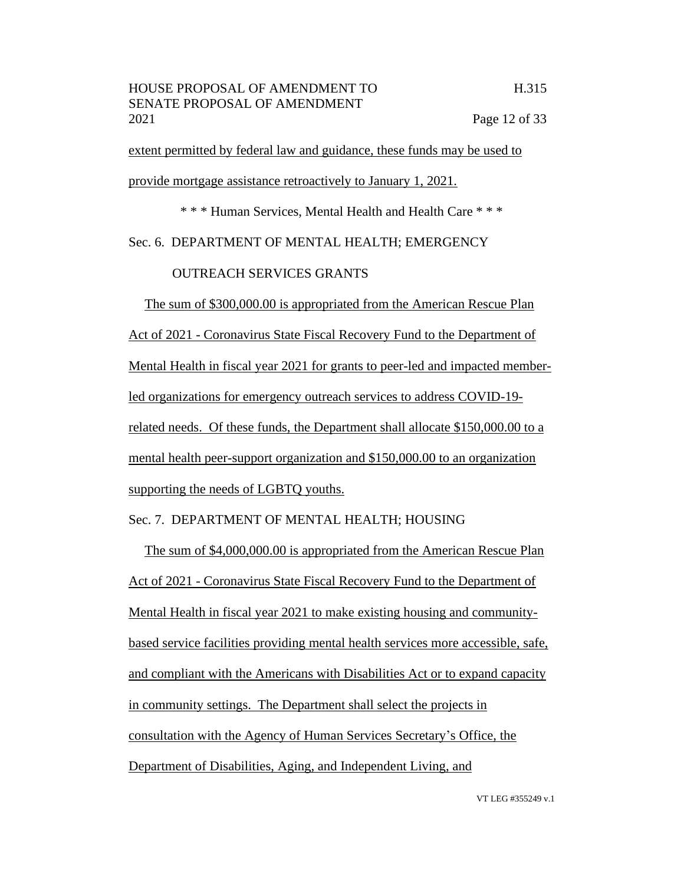extent permitted by federal law and guidance, these funds may be used to provide mortgage assistance retroactively to January 1, 2021.

\* \* \* Human Services, Mental Health and Health Care \* \* \*

# Sec. 6. DEPARTMENT OF MENTAL HEALTH; EMERGENCY

# OUTREACH SERVICES GRANTS

The sum of \$300,000.00 is appropriated from the American Rescue Plan Act of 2021 - Coronavirus State Fiscal Recovery Fund to the Department of Mental Health in fiscal year 2021 for grants to peer-led and impacted memberled organizations for emergency outreach services to address COVID-19 related needs. Of these funds, the Department shall allocate \$150,000.00 to a mental health peer-support organization and \$150,000.00 to an organization supporting the needs of LGBTQ youths.

# Sec. 7. DEPARTMENT OF MENTAL HEALTH; HOUSING

The sum of \$4,000,000.00 is appropriated from the American Rescue Plan Act of 2021 - Coronavirus State Fiscal Recovery Fund to the Department of Mental Health in fiscal year 2021 to make existing housing and communitybased service facilities providing mental health services more accessible, safe, and compliant with the Americans with Disabilities Act or to expand capacity in community settings. The Department shall select the projects in consultation with the Agency of Human Services Secretary's Office, the Department of Disabilities, Aging, and Independent Living, and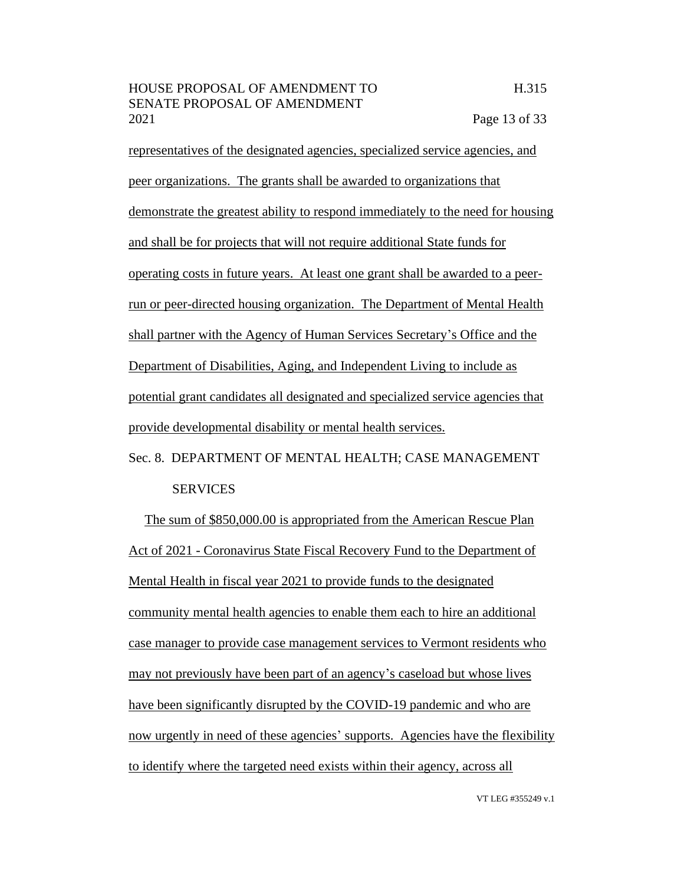representatives of the designated agencies, specialized service agencies, and peer organizations. The grants shall be awarded to organizations that demonstrate the greatest ability to respond immediately to the need for housing and shall be for projects that will not require additional State funds for operating costs in future years. At least one grant shall be awarded to a peerrun or peer-directed housing organization. The Department of Mental Health shall partner with the Agency of Human Services Secretary's Office and the Department of Disabilities, Aging, and Independent Living to include as potential grant candidates all designated and specialized service agencies that provide developmental disability or mental health services.

# Sec. 8. DEPARTMENT OF MENTAL HEALTH; CASE MANAGEMENT **SERVICES**

The sum of \$850,000.00 is appropriated from the American Rescue Plan Act of 2021 - Coronavirus State Fiscal Recovery Fund to the Department of Mental Health in fiscal year 2021 to provide funds to the designated community mental health agencies to enable them each to hire an additional case manager to provide case management services to Vermont residents who may not previously have been part of an agency's caseload but whose lives have been significantly disrupted by the COVID-19 pandemic and who are now urgently in need of these agencies' supports. Agencies have the flexibility to identify where the targeted need exists within their agency, across all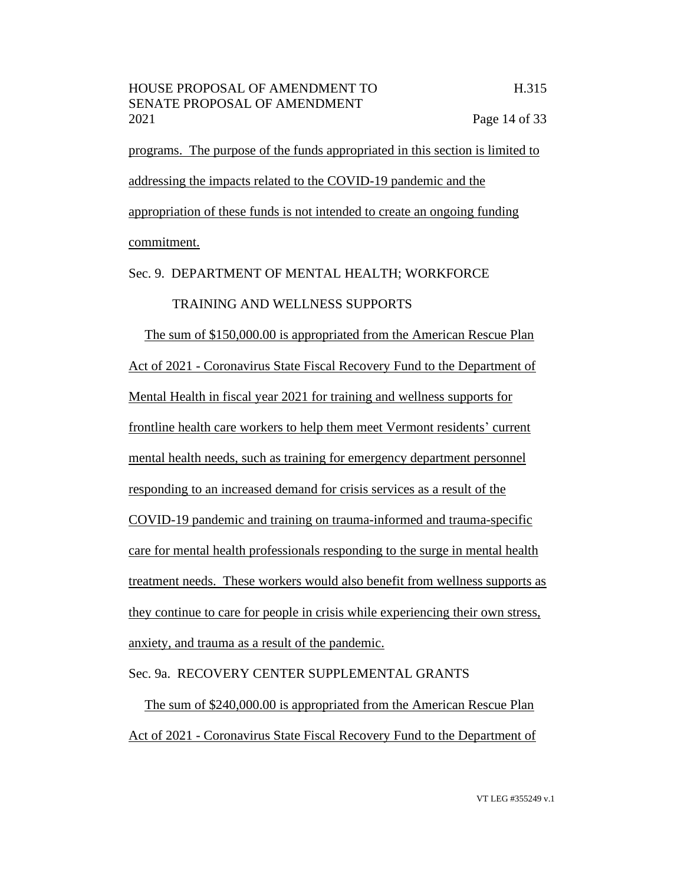programs. The purpose of the funds appropriated in this section is limited to addressing the impacts related to the COVID-19 pandemic and the appropriation of these funds is not intended to create an ongoing funding commitment.

# Sec. 9. DEPARTMENT OF MENTAL HEALTH; WORKFORCE

# TRAINING AND WELLNESS SUPPORTS

The sum of \$150,000.00 is appropriated from the American Rescue Plan Act of 2021 - Coronavirus State Fiscal Recovery Fund to the Department of Mental Health in fiscal year 2021 for training and wellness supports for frontline health care workers to help them meet Vermont residents' current mental health needs, such as training for emergency department personnel responding to an increased demand for crisis services as a result of the COVID-19 pandemic and training on trauma-informed and trauma-specific care for mental health professionals responding to the surge in mental health treatment needs. These workers would also benefit from wellness supports as they continue to care for people in crisis while experiencing their own stress, anxiety, and trauma as a result of the pandemic.

# Sec. 9a. RECOVERY CENTER SUPPLEMENTAL GRANTS

The sum of \$240,000.00 is appropriated from the American Rescue Plan Act of 2021 - Coronavirus State Fiscal Recovery Fund to the Department of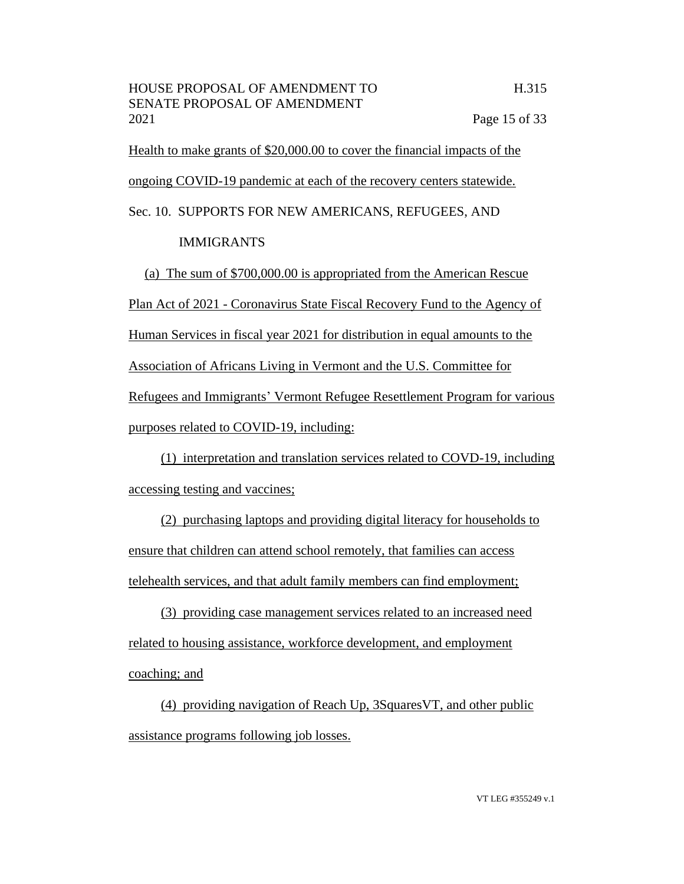Health to make grants of \$20,000.00 to cover the financial impacts of the ongoing COVID-19 pandemic at each of the recovery centers statewide.

Sec. 10. SUPPORTS FOR NEW AMERICANS, REFUGEES, AND

# IMMIGRANTS

(a) The sum of \$700,000.00 is appropriated from the American Rescue Plan Act of 2021 - Coronavirus State Fiscal Recovery Fund to the Agency of Human Services in fiscal year 2021 for distribution in equal amounts to the Association of Africans Living in Vermont and the U.S. Committee for Refugees and Immigrants' Vermont Refugee Resettlement Program for various purposes related to COVID-19, including:

(1) interpretation and translation services related to COVD-19, including accessing testing and vaccines;

(2) purchasing laptops and providing digital literacy for households to ensure that children can attend school remotely, that families can access telehealth services, and that adult family members can find employment;

(3) providing case management services related to an increased need related to housing assistance, workforce development, and employment coaching; and

(4) providing navigation of Reach Up, 3SquaresVT, and other public assistance programs following job losses.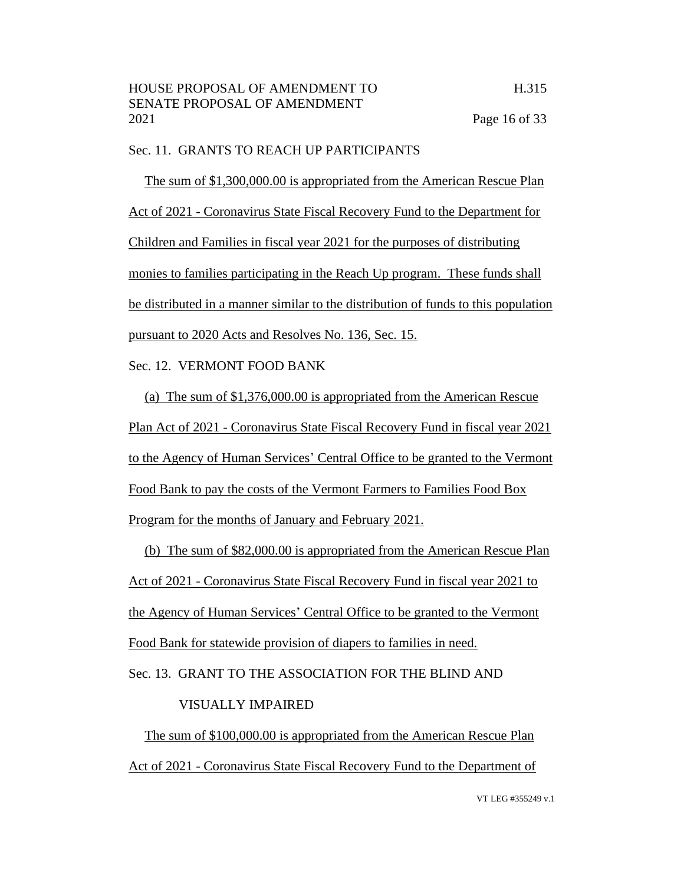# Sec. 11. GRANTS TO REACH UP PARTICIPANTS

The sum of \$1,300,000.00 is appropriated from the American Rescue Plan Act of 2021 - Coronavirus State Fiscal Recovery Fund to the Department for Children and Families in fiscal year 2021 for the purposes of distributing monies to families participating in the Reach Up program. These funds shall be distributed in a manner similar to the distribution of funds to this population pursuant to 2020 Acts and Resolves No. 136, Sec. 15.

# Sec. 12. VERMONT FOOD BANK

(a) The sum of \$1,376,000.00 is appropriated from the American Rescue Plan Act of 2021 - Coronavirus State Fiscal Recovery Fund in fiscal year 2021 to the Agency of Human Services' Central Office to be granted to the Vermont Food Bank to pay the costs of the Vermont Farmers to Families Food Box Program for the months of January and February 2021.

(b) The sum of \$82,000.00 is appropriated from the American Rescue Plan Act of 2021 - Coronavirus State Fiscal Recovery Fund in fiscal year 2021 to the Agency of Human Services' Central Office to be granted to the Vermont Food Bank for statewide provision of diapers to families in need.

Sec. 13. GRANT TO THE ASSOCIATION FOR THE BLIND AND

# VISUALLY IMPAIRED

The sum of \$100,000.00 is appropriated from the American Rescue Plan Act of 2021 - Coronavirus State Fiscal Recovery Fund to the Department of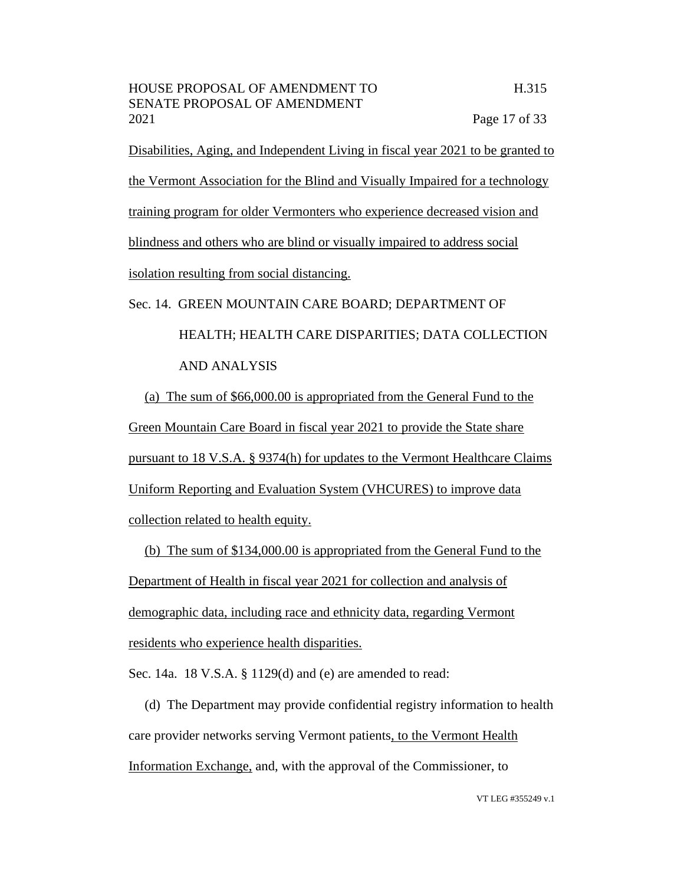Disabilities, Aging, and Independent Living in fiscal year 2021 to be granted to the Vermont Association for the Blind and Visually Impaired for a technology training program for older Vermonters who experience decreased vision and blindness and others who are blind or visually impaired to address social isolation resulting from social distancing.

# Sec. 14. GREEN MOUNTAIN CARE BOARD; DEPARTMENT OF HEALTH; HEALTH CARE DISPARITIES; DATA COLLECTION AND ANALYSIS

(a) The sum of \$66,000.00 is appropriated from the General Fund to the Green Mountain Care Board in fiscal year 2021 to provide the State share pursuant to 18 V.S.A. § 9374(h) for updates to the Vermont Healthcare Claims Uniform Reporting and Evaluation System (VHCURES) to improve data collection related to health equity.

(b) The sum of \$134,000.00 is appropriated from the General Fund to the Department of Health in fiscal year 2021 for collection and analysis of demographic data, including race and ethnicity data, regarding Vermont residents who experience health disparities.

Sec. 14a. 18 V.S.A. § 1129(d) and (e) are amended to read:

(d) The Department may provide confidential registry information to health care provider networks serving Vermont patients, to the Vermont Health Information Exchange, and, with the approval of the Commissioner, to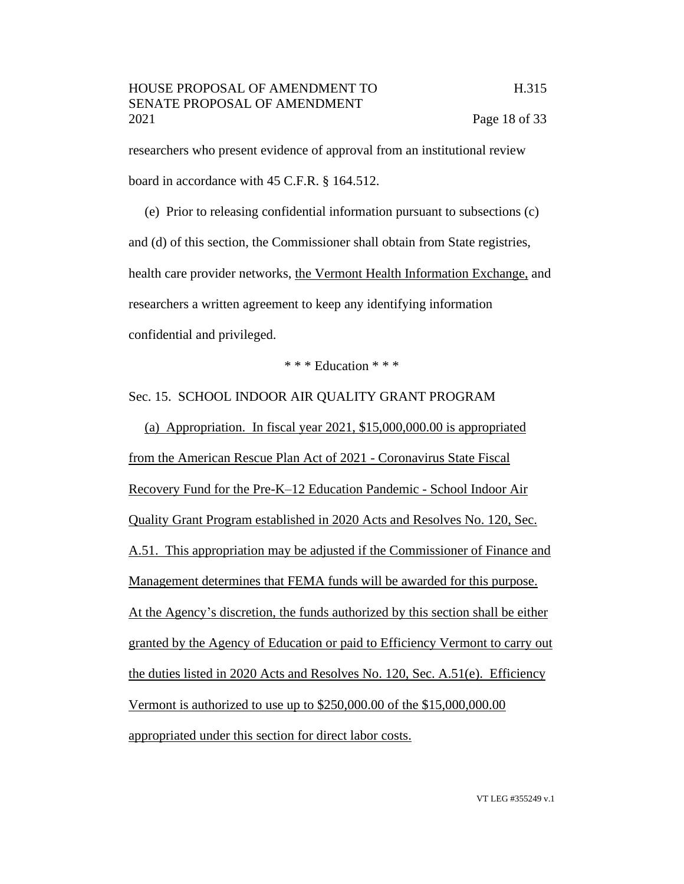researchers who present evidence of approval from an institutional review board in accordance with 45 C.F.R. § 164.512.

(e) Prior to releasing confidential information pursuant to subsections (c) and (d) of this section, the Commissioner shall obtain from State registries, health care provider networks, the Vermont Health Information Exchange, and researchers a written agreement to keep any identifying information confidential and privileged.

\* \* \* Education \* \* \*

Sec. 15. SCHOOL INDOOR AIR QUALITY GRANT PROGRAM

(a) Appropriation. In fiscal year 2021, \$15,000,000.00 is appropriated from the American Rescue Plan Act of 2021 - Coronavirus State Fiscal Recovery Fund for the Pre-K–12 Education Pandemic - School Indoor Air Quality Grant Program established in 2020 Acts and Resolves No. 120, Sec. A.51. This appropriation may be adjusted if the Commissioner of Finance and Management determines that FEMA funds will be awarded for this purpose. At the Agency's discretion, the funds authorized by this section shall be either granted by the Agency of Education or paid to Efficiency Vermont to carry out the duties listed in 2020 Acts and Resolves No. 120, Sec. A.51(e). Efficiency Vermont is authorized to use up to \$250,000.00 of the \$15,000,000.00 appropriated under this section for direct labor costs.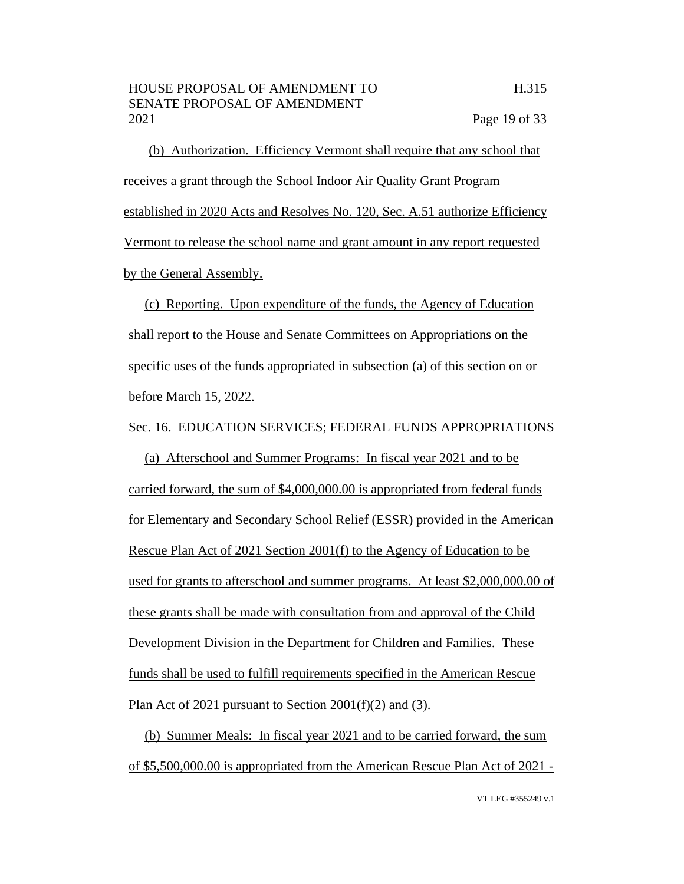(b) Authorization. Efficiency Vermont shall require that any school that receives a grant through the School Indoor Air Quality Grant Program established in 2020 Acts and Resolves No. 120, Sec. A.51 authorize Efficiency Vermont to release the school name and grant amount in any report requested by the General Assembly.

(c) Reporting. Upon expenditure of the funds, the Agency of Education shall report to the House and Senate Committees on Appropriations on the specific uses of the funds appropriated in subsection (a) of this section on or before March 15, 2022.

Sec. 16. EDUCATION SERVICES; FEDERAL FUNDS APPROPRIATIONS

(a) Afterschool and Summer Programs: In fiscal year 2021 and to be carried forward, the sum of \$4,000,000.00 is appropriated from federal funds for Elementary and Secondary School Relief (ESSR) provided in the American Rescue Plan Act of 2021 Section 2001(f) to the Agency of Education to be used for grants to afterschool and summer programs. At least \$2,000,000.00 of these grants shall be made with consultation from and approval of the Child Development Division in the Department for Children and Families. These funds shall be used to fulfill requirements specified in the American Rescue Plan Act of 2021 pursuant to Section 2001(f)(2) and (3).

(b) Summer Meals: In fiscal year 2021 and to be carried forward, the sum of \$5,500,000.00 is appropriated from the American Rescue Plan Act of 2021 -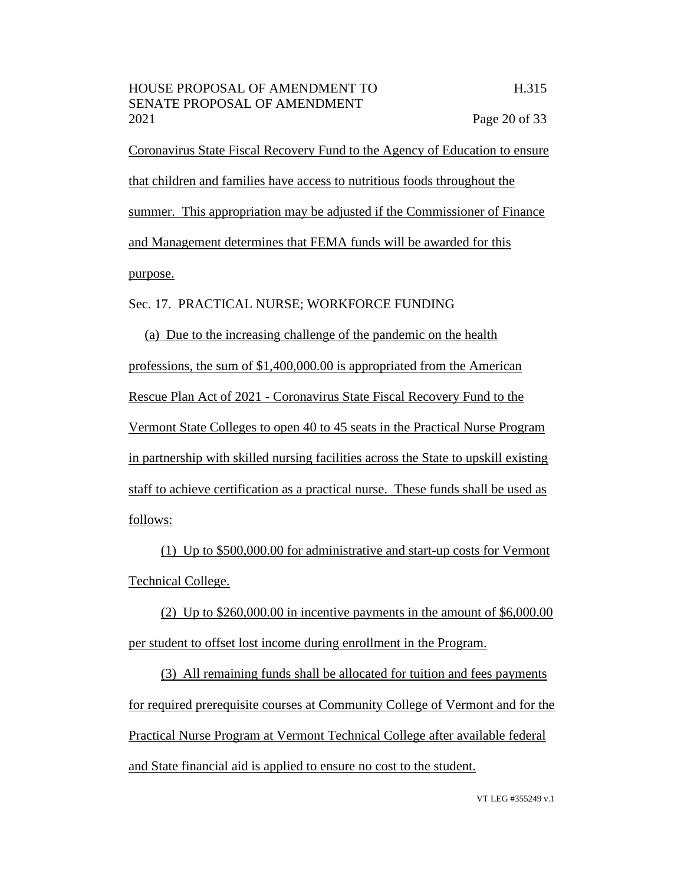Coronavirus State Fiscal Recovery Fund to the Agency of Education to ensure that children and families have access to nutritious foods throughout the summer. This appropriation may be adjusted if the Commissioner of Finance and Management determines that FEMA funds will be awarded for this purpose.

#### Sec. 17. PRACTICAL NURSE; WORKFORCE FUNDING

(a) Due to the increasing challenge of the pandemic on the health professions, the sum of \$1,400,000.00 is appropriated from the American Rescue Plan Act of 2021 - Coronavirus State Fiscal Recovery Fund to the Vermont State Colleges to open 40 to 45 seats in the Practical Nurse Program in partnership with skilled nursing facilities across the State to upskill existing staff to achieve certification as a practical nurse. These funds shall be used as follows:

(1) Up to \$500,000.00 for administrative and start-up costs for Vermont Technical College.

(2) Up to  $$260,000.00$  in incentive payments in the amount of  $$6,000.00$ per student to offset lost income during enrollment in the Program.

(3) All remaining funds shall be allocated for tuition and fees payments for required prerequisite courses at Community College of Vermont and for the Practical Nurse Program at Vermont Technical College after available federal and State financial aid is applied to ensure no cost to the student.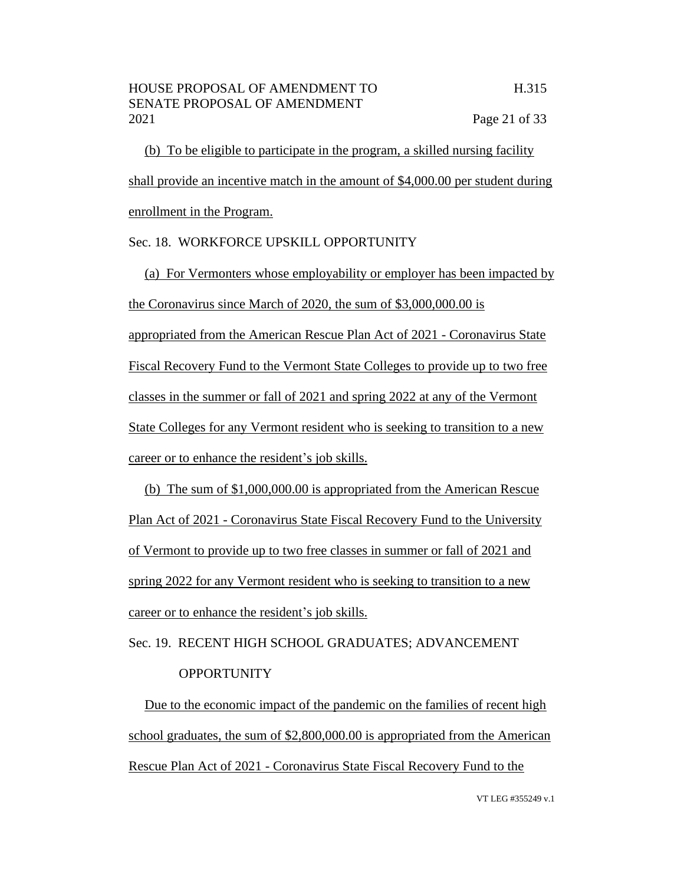(b) To be eligible to participate in the program, a skilled nursing facility shall provide an incentive match in the amount of \$4,000.00 per student during enrollment in the Program.

#### Sec. 18. WORKFORCE UPSKILL OPPORTUNITY

(a) For Vermonters whose employability or employer has been impacted by the Coronavirus since March of 2020, the sum of \$3,000,000.00 is appropriated from the American Rescue Plan Act of 2021 - Coronavirus State Fiscal Recovery Fund to the Vermont State Colleges to provide up to two free classes in the summer or fall of 2021 and spring 2022 at any of the Vermont State Colleges for any Vermont resident who is seeking to transition to a new career or to enhance the resident's job skills.

(b) The sum of \$1,000,000.00 is appropriated from the American Rescue Plan Act of 2021 - Coronavirus State Fiscal Recovery Fund to the University of Vermont to provide up to two free classes in summer or fall of 2021 and spring 2022 for any Vermont resident who is seeking to transition to a new career or to enhance the resident's job skills.

# Sec. 19. RECENT HIGH SCHOOL GRADUATES; ADVANCEMENT **OPPORTUNITY**

Due to the economic impact of the pandemic on the families of recent high school graduates, the sum of \$2,800,000.00 is appropriated from the American Rescue Plan Act of 2021 - Coronavirus State Fiscal Recovery Fund to the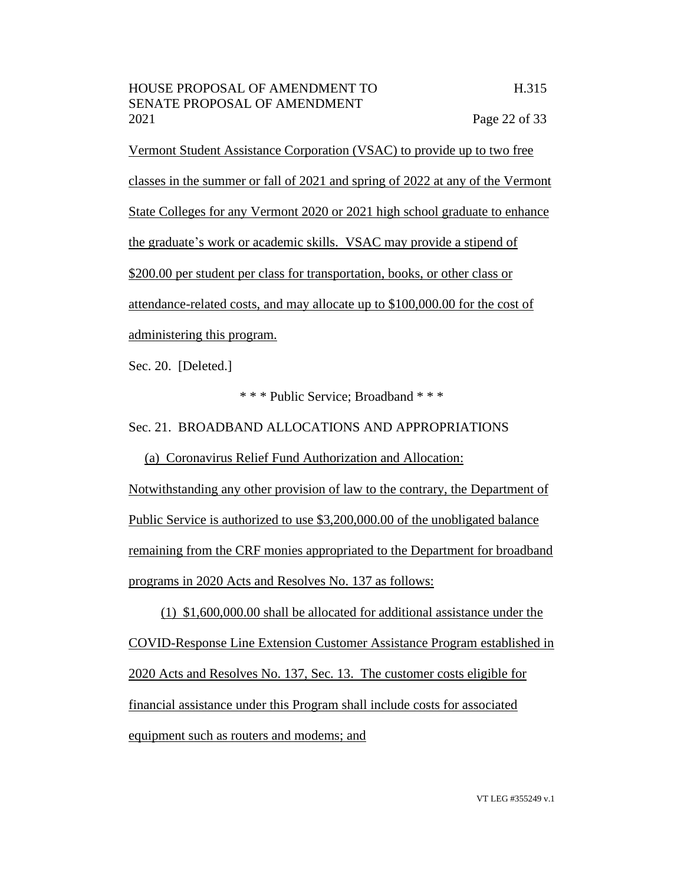Vermont Student Assistance Corporation (VSAC) to provide up to two free classes in the summer or fall of 2021 and spring of 2022 at any of the Vermont State Colleges for any Vermont 2020 or 2021 high school graduate to enhance the graduate's work or academic skills. VSAC may provide a stipend of \$200.00 per student per class for transportation, books, or other class or attendance-related costs, and may allocate up to \$100,000.00 for the cost of administering this program.

Sec. 20. [Deleted.]

\* \* \* Public Service; Broadband \* \* \*

#### Sec. 21. BROADBAND ALLOCATIONS AND APPROPRIATIONS

(a) Coronavirus Relief Fund Authorization and Allocation: Notwithstanding any other provision of law to the contrary, the Department of Public Service is authorized to use \$3,200,000.00 of the unobligated balance remaining from the CRF monies appropriated to the Department for broadband programs in 2020 Acts and Resolves No. 137 as follows:

(1) \$1,600,000.00 shall be allocated for additional assistance under the COVID-Response Line Extension Customer Assistance Program established in 2020 Acts and Resolves No. 137, Sec. 13. The customer costs eligible for financial assistance under this Program shall include costs for associated equipment such as routers and modems; and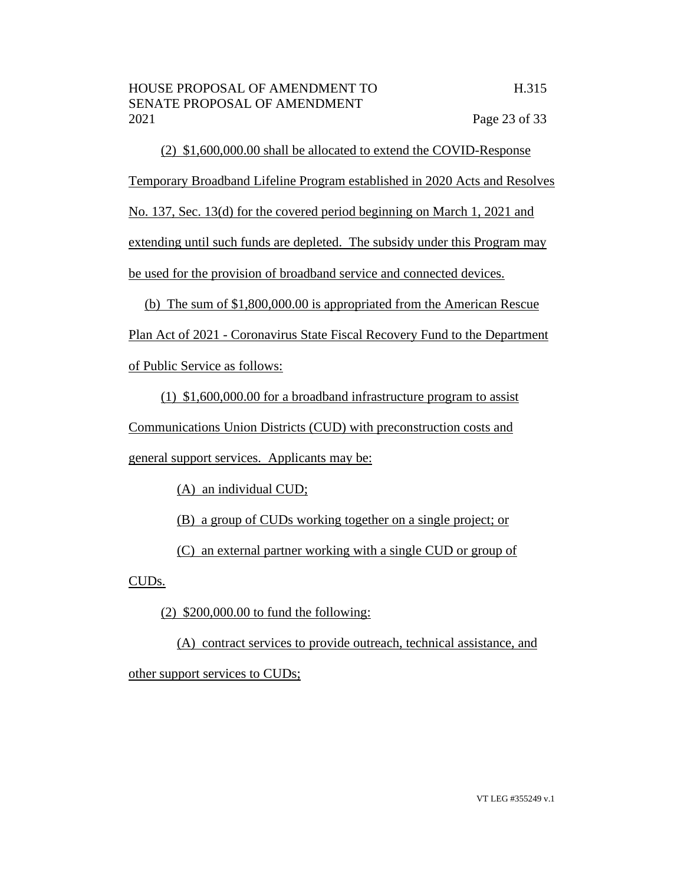(2) \$1,600,000.00 shall be allocated to extend the COVID-Response Temporary Broadband Lifeline Program established in 2020 Acts and Resolves No. 137, Sec. 13(d) for the covered period beginning on March 1, 2021 and extending until such funds are depleted. The subsidy under this Program may be used for the provision of broadband service and connected devices.

(b) The sum of \$1,800,000.00 is appropriated from the American Rescue Plan Act of 2021 - Coronavirus State Fiscal Recovery Fund to the Department of Public Service as follows:

(1) \$1,600,000.00 for a broadband infrastructure program to assist Communications Union Districts (CUD) with preconstruction costs and

general support services. Applicants may be:

(A) an individual CUD;

(B) a group of CUDs working together on a single project; or

(C) an external partner working with a single CUD or group of

CUDs.

 $(2)$  \$200,000.00 to fund the following:

(A) contract services to provide outreach, technical assistance, and other support services to CUDs;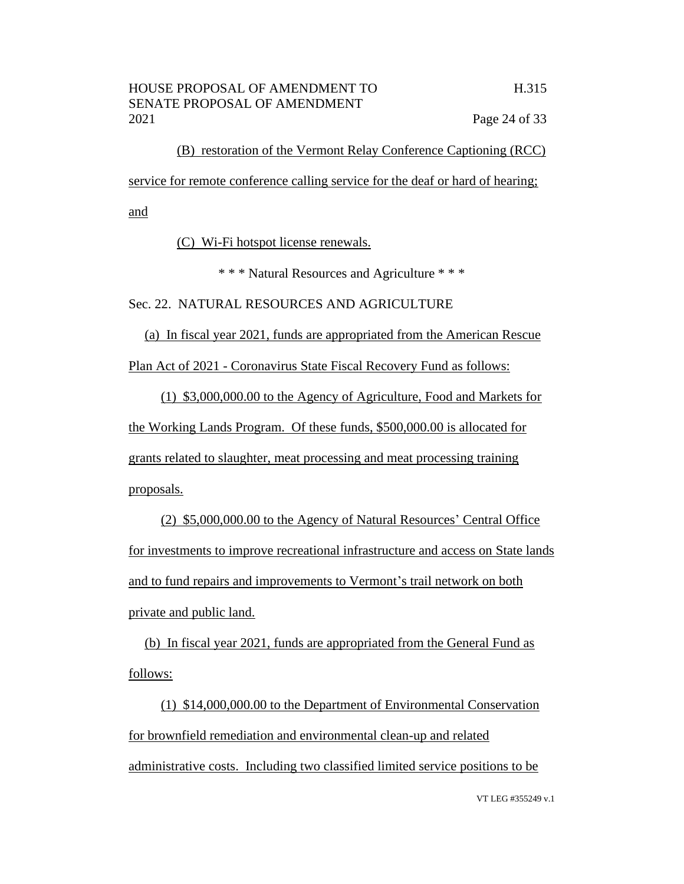(B) restoration of the Vermont Relay Conference Captioning (RCC) service for remote conference calling service for the deaf or hard of hearing; and

(C) Wi-Fi hotspot license renewals.

\* \* \* Natural Resources and Agriculture \* \* \*

Sec. 22. NATURAL RESOURCES AND AGRICULTURE

(a) In fiscal year 2021, funds are appropriated from the American Rescue Plan Act of 2021 - Coronavirus State Fiscal Recovery Fund as follows:

(1) \$3,000,000.00 to the Agency of Agriculture, Food and Markets for the Working Lands Program. Of these funds, \$500,000.00 is allocated for grants related to slaughter, meat processing and meat processing training proposals.

(2) \$5,000,000.00 to the Agency of Natural Resources' Central Office for investments to improve recreational infrastructure and access on State lands and to fund repairs and improvements to Vermont's trail network on both private and public land.

(b) In fiscal year 2021, funds are appropriated from the General Fund as follows:

(1) \$14,000,000.00 to the Department of Environmental Conservation for brownfield remediation and environmental clean-up and related administrative costs. Including two classified limited service positions to be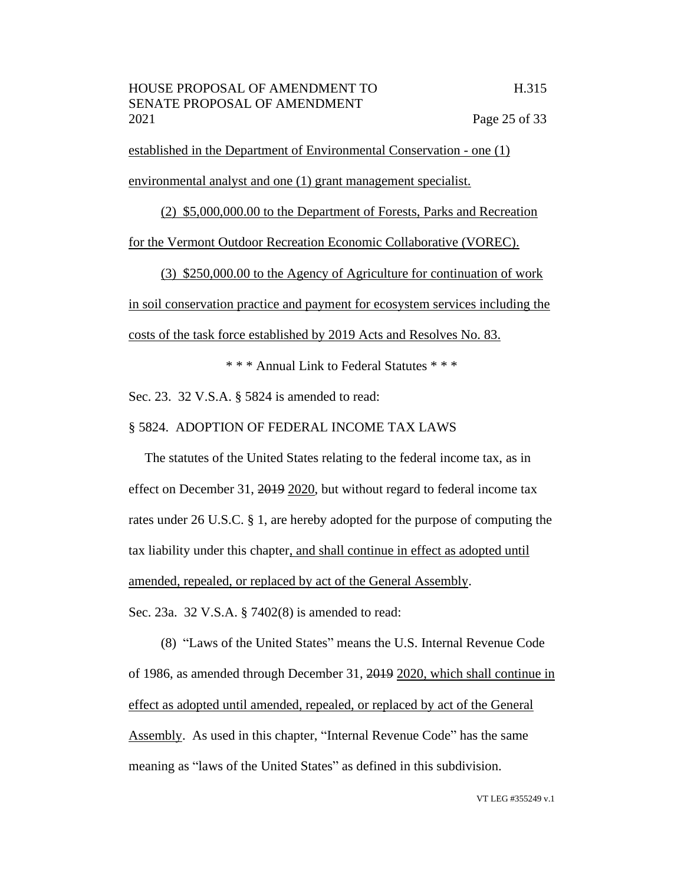established in the Department of Environmental Conservation - one (1) environmental analyst and one (1) grant management specialist.

(2) \$5,000,000.00 to the Department of Forests, Parks and Recreation for the Vermont Outdoor Recreation Economic Collaborative (VOREC).

(3) \$250,000.00 to the Agency of Agriculture for continuation of work in soil conservation practice and payment for ecosystem services including the costs of the task force established by 2019 Acts and Resolves No. 83.

\* \* \* Annual Link to Federal Statutes \* \* \*

Sec. 23. 32 V.S.A. § 5824 is amended to read:

# § 5824. ADOPTION OF FEDERAL INCOME TAX LAWS

The statutes of the United States relating to the federal income tax, as in effect on December 31, 2019 2020, but without regard to federal income tax rates under 26 U.S.C. § 1, are hereby adopted for the purpose of computing the tax liability under this chapter, and shall continue in effect as adopted until amended, repealed, or replaced by act of the General Assembly. Sec. 23a. 32 V.S.A. § 7402(8) is amended to read:

(8) "Laws of the United States" means the U.S. Internal Revenue Code of 1986, as amended through December 31, 2019 2020, which shall continue in effect as adopted until amended, repealed, or replaced by act of the General Assembly. As used in this chapter, "Internal Revenue Code" has the same meaning as "laws of the United States" as defined in this subdivision.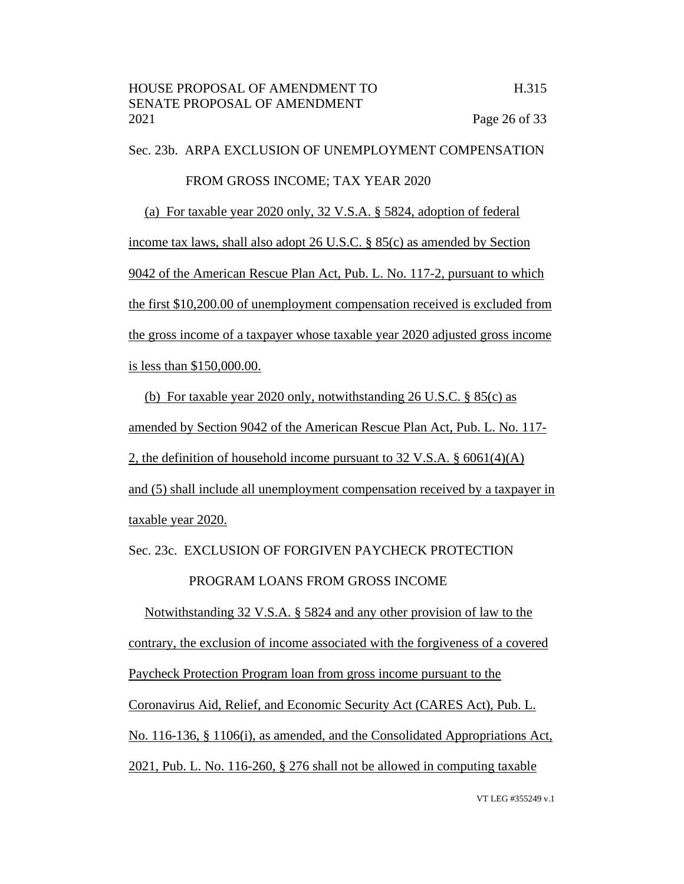Sec. 23b. ARPA EXCLUSION OF UNEMPLOYMENT COMPENSATION FROM GROSS INCOME; TAX YEAR 2020 (a) For taxable year 2020 only, 32 V.S.A. § 5824, adoption of federal income tax laws, shall also adopt 26 U.S.C. § 85(c) as amended by Section 9042 of the American Rescue Plan Act, Pub. L. No. 117-2, pursuant to which the first \$10,200.00 of unemployment compensation received is excluded from the gross income of a taxpayer whose taxable year 2020 adjusted gross income is less than \$150,000.00.

(b) For taxable year 2020 only, notwithstanding 26 U.S.C. § 85(c) as amended by Section 9042 of the American Rescue Plan Act, Pub. L. No. 117- 2, the definition of household income pursuant to 32 V.S.A. § 6061(4)(A) and (5) shall include all unemployment compensation received by a taxpayer in taxable year 2020.

Sec. 23c. EXCLUSION OF FORGIVEN PAYCHECK PROTECTION

# PROGRAM LOANS FROM GROSS INCOME

Notwithstanding 32 V.S.A. § 5824 and any other provision of law to the contrary, the exclusion of income associated with the forgiveness of a covered Paycheck Protection Program loan from gross income pursuant to the Coronavirus Aid, Relief, and Economic Security Act (CARES Act), Pub. L. No. 116-136, § 1106(i), as amended, and the Consolidated Appropriations Act, 2021, Pub. L. No. 116-260, § 276 shall not be allowed in computing taxable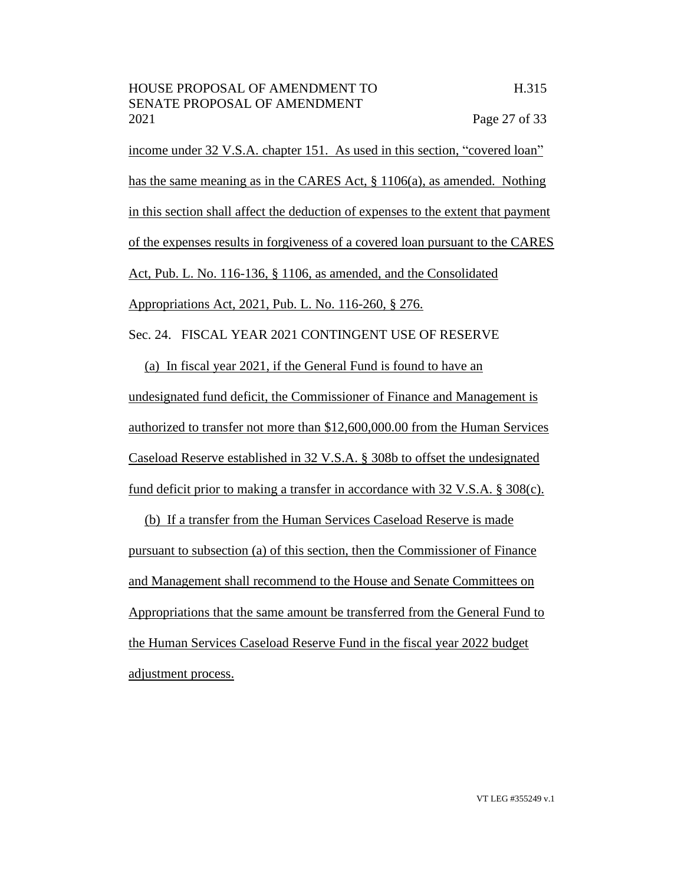income under 32 V.S.A. chapter 151. As used in this section, "covered loan" has the same meaning as in the CARES Act, § 1106(a), as amended. Nothing in this section shall affect the deduction of expenses to the extent that payment of the expenses results in forgiveness of a covered loan pursuant to the CARES Act, Pub. L. No. 116-136, § 1106, as amended, and the Consolidated Appropriations Act, 2021, Pub. L. No. 116-260, § 276. Sec. 24. FISCAL YEAR 2021 CONTINGENT USE OF RESERVE

(a) In fiscal year 2021, if the General Fund is found to have an undesignated fund deficit, the Commissioner of Finance and Management is authorized to transfer not more than \$12,600,000.00 from the Human Services Caseload Reserve established in 32 V.S.A. § 308b to offset the undesignated fund deficit prior to making a transfer in accordance with 32 V.S.A. § 308(c).

(b) If a transfer from the Human Services Caseload Reserve is made pursuant to subsection (a) of this section, then the Commissioner of Finance and Management shall recommend to the House and Senate Committees on Appropriations that the same amount be transferred from the General Fund to the Human Services Caseload Reserve Fund in the fiscal year 2022 budget adjustment process.

VT LEG #355249 v.1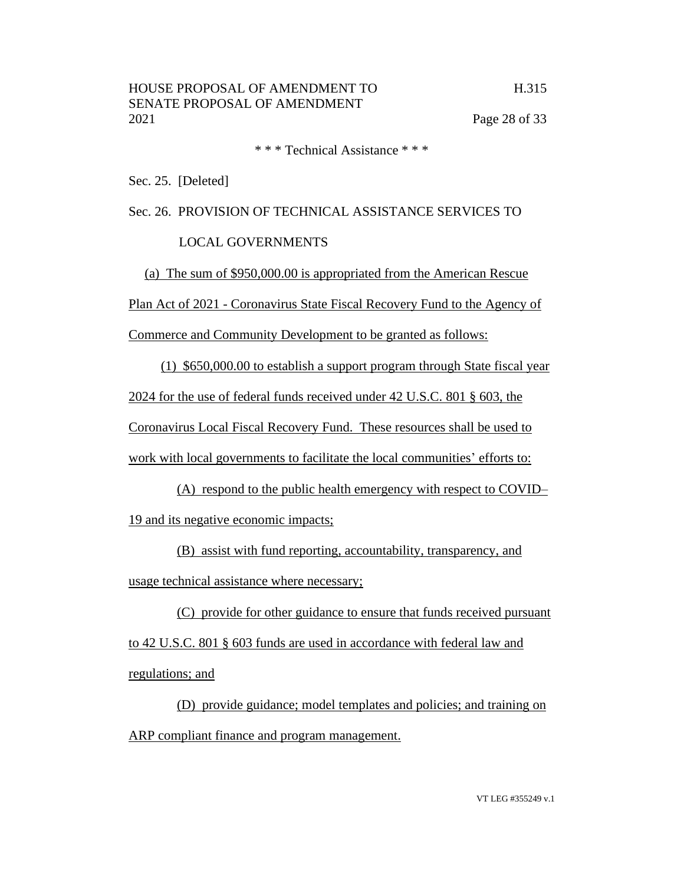\* \* \* Technical Assistance \* \* \*

Sec. 25. [Deleted]

Sec. 26. PROVISION OF TECHNICAL ASSISTANCE SERVICES TO

# LOCAL GOVERNMENTS

(a) The sum of \$950,000.00 is appropriated from the American Rescue

Plan Act of 2021 - Coronavirus State Fiscal Recovery Fund to the Agency of

Commerce and Community Development to be granted as follows:

(1) \$650,000.00 to establish a support program through State fiscal year

2024 for the use of federal funds received under 42 U.S.C. 801 § 603, the

Coronavirus Local Fiscal Recovery Fund. These resources shall be used to

work with local governments to facilitate the local communities' efforts to:

(A) respond to the public health emergency with respect to COVID– 19 and its negative economic impacts;

(B) assist with fund reporting, accountability, transparency, and usage technical assistance where necessary;

(C) provide for other guidance to ensure that funds received pursuant to 42 U.S.C. 801 § 603 funds are used in accordance with federal law and regulations; and

(D) provide guidance; model templates and policies; and training on ARP compliant finance and program management.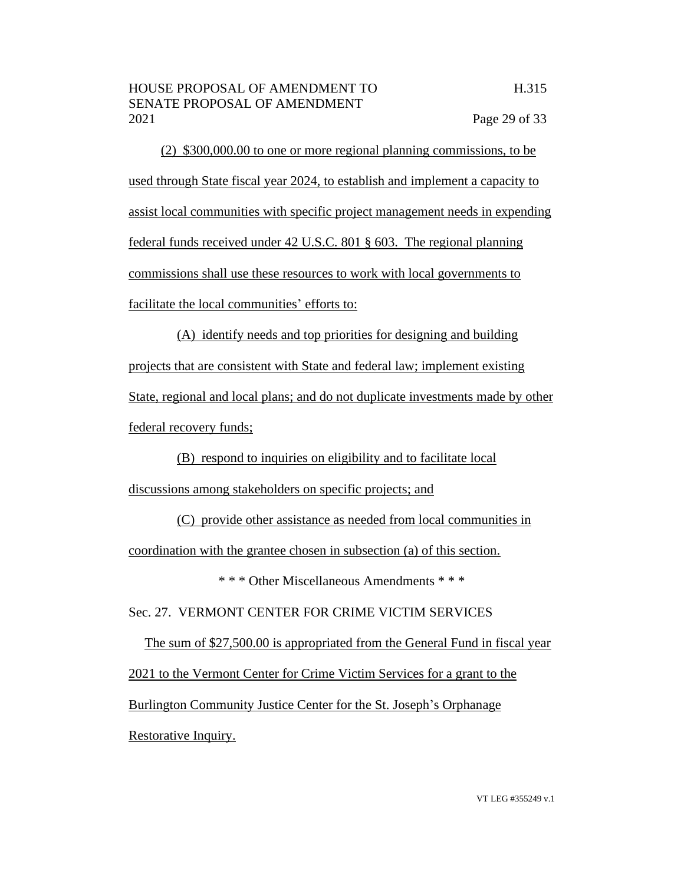(2) \$300,000.00 to one or more regional planning commissions, to be used through State fiscal year 2024, to establish and implement a capacity to assist local communities with specific project management needs in expending federal funds received under 42 U.S.C. 801 § 603. The regional planning commissions shall use these resources to work with local governments to facilitate the local communities' efforts to:

(A) identify needs and top priorities for designing and building projects that are consistent with State and federal law; implement existing State, regional and local plans; and do not duplicate investments made by other federal recovery funds;

(B) respond to inquiries on eligibility and to facilitate local discussions among stakeholders on specific projects; and

(C) provide other assistance as needed from local communities in coordination with the grantee chosen in subsection (a) of this section.

\* \* \* Other Miscellaneous Amendments \* \* \*

Sec. 27. VERMONT CENTER FOR CRIME VICTIM SERVICES

The sum of \$27,500.00 is appropriated from the General Fund in fiscal year 2021 to the Vermont Center for Crime Victim Services for a grant to the Burlington Community Justice Center for the St. Joseph's Orphanage Restorative Inquiry.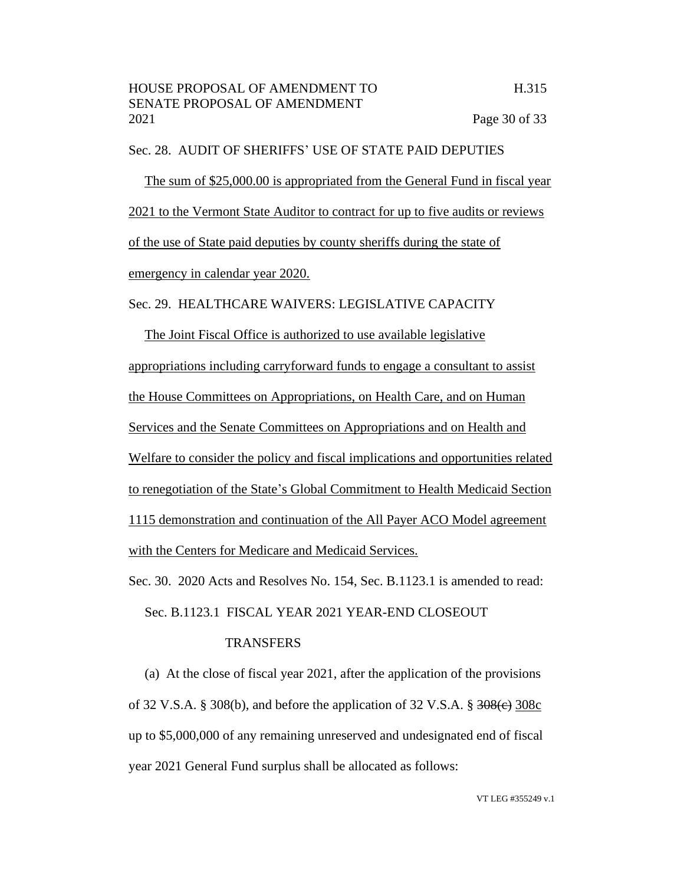#### Sec. 28. AUDIT OF SHERIFFS' USE OF STATE PAID DEPUTIES

The sum of \$25,000.00 is appropriated from the General Fund in fiscal year 2021 to the Vermont State Auditor to contract for up to five audits or reviews of the use of State paid deputies by county sheriffs during the state of emergency in calendar year 2020.

Sec. 29. HEALTHCARE WAIVERS: LEGISLATIVE CAPACITY

The Joint Fiscal Office is authorized to use available legislative appropriations including carryforward funds to engage a consultant to assist the House Committees on Appropriations, on Health Care, and on Human Services and the Senate Committees on Appropriations and on Health and Welfare to consider the policy and fiscal implications and opportunities related to renegotiation of the State's Global Commitment to Health Medicaid Section 1115 demonstration and continuation of the All Payer ACO Model agreement with the Centers for Medicare and Medicaid Services.

Sec. 30. 2020 Acts and Resolves No. 154, Sec. B.1123.1 is amended to read:

Sec. B.1123.1 FISCAL YEAR 2021 YEAR-END CLOSEOUT

# **TRANSFERS**

(a) At the close of fiscal year 2021, after the application of the provisions of 32 V.S.A. § 308(b), and before the application of 32 V.S.A. §  $\frac{308}{e}$  308 $\frac{308}{e}$ up to \$5,000,000 of any remaining unreserved and undesignated end of fiscal year 2021 General Fund surplus shall be allocated as follows: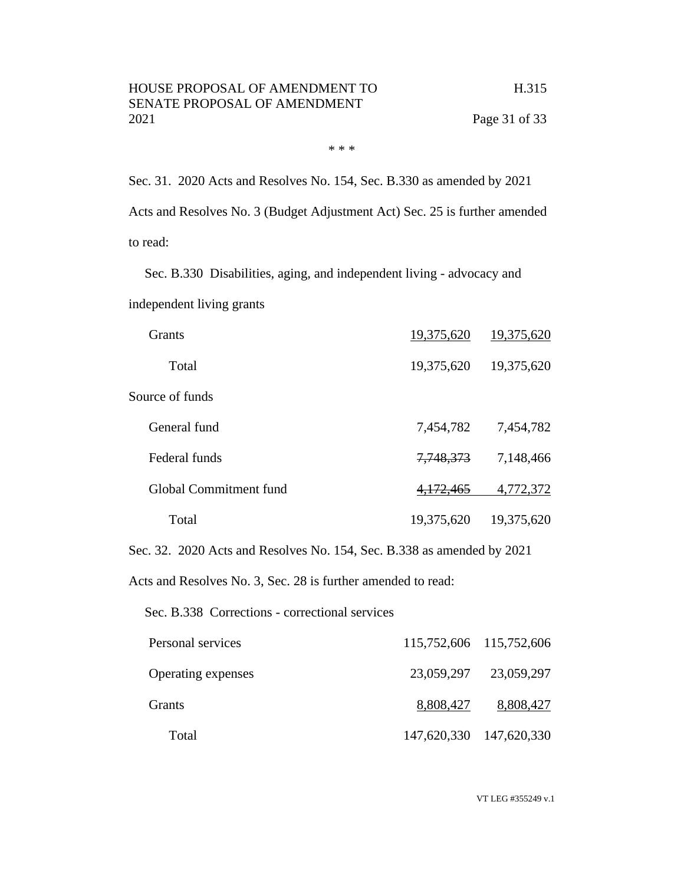\* \* \*

Sec. 31. 2020 Acts and Resolves No. 154, Sec. B.330 as amended by 2021 Acts and Resolves No. 3 (Budget Adjustment Act) Sec. 25 is further amended to read:

Sec. B.330 Disabilities, aging, and independent living - advocacy and

independent living grants

| <b>Grants</b>          | 19,375,620 | 19,375,620 |
|------------------------|------------|------------|
| Total                  | 19,375,620 | 19,375,620 |
| Source of funds        |            |            |
| General fund           | 7,454,782  | 7,454,782  |
| Federal funds          | 7,748,373  | 7,148,466  |
| Global Commitment fund | 4,172,465  | 4,772,372  |
| Total                  | 19,375,620 | 19,375,620 |

Sec. 32. 2020 Acts and Resolves No. 154, Sec. B.338 as amended by 2021

Acts and Resolves No. 3, Sec. 28 is further amended to read:

Sec. B.338 Corrections - correctional services

| Personal services         |           | 115,752,606 115,752,606 |
|---------------------------|-----------|-------------------------|
| <b>Operating expenses</b> |           | 23,059,297 23,059,297   |
| Grants                    | 8,808,427 | 8,808,427               |
| Total                     |           | 147,620,330 147,620,330 |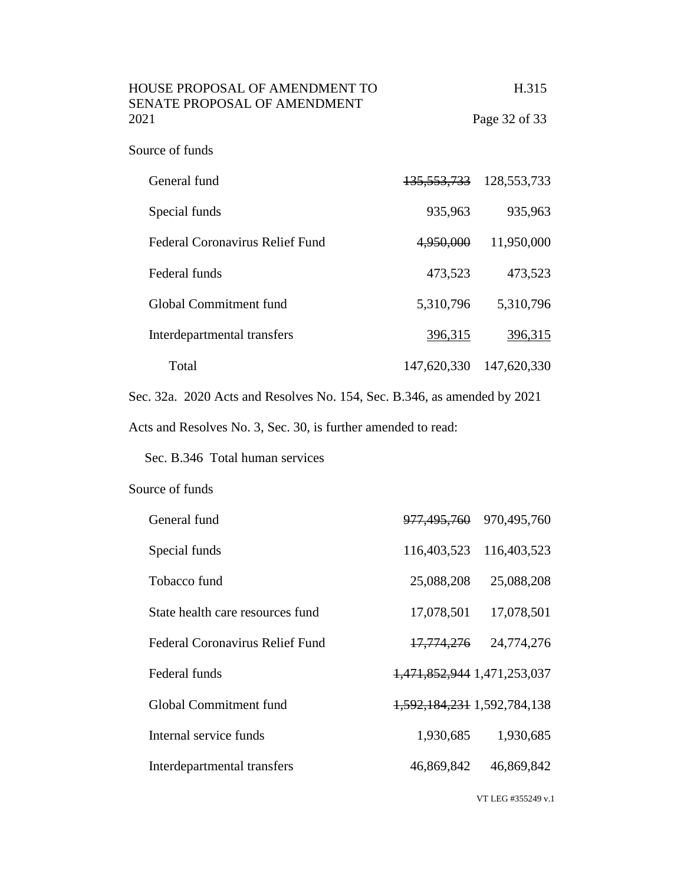| 2021<br>Page 32 of 33<br>Source of funds                                 | HOUSE PROPOSAL OF AMENDMENT TO<br>SENATE PROPOSAL OF AMENDMENT |                        | H.315         |
|--------------------------------------------------------------------------|----------------------------------------------------------------|------------------------|---------------|
|                                                                          |                                                                |                        |               |
|                                                                          |                                                                |                        |               |
|                                                                          | General fund                                                   | <del>135,553,733</del> | 128, 553, 733 |
| 935,963<br>Special funds                                                 |                                                                |                        | 935,963       |
| <b>Federal Coronavirus Relief Fund</b><br>4,950,000                      |                                                                |                        | 11,950,000    |
| Federal funds<br>473,523                                                 |                                                                |                        | 473,523       |
| Global Commitment fund<br>5,310,796                                      |                                                                |                        | 5,310,796     |
| Interdepartmental transfers<br>396,315                                   |                                                                |                        | 396,315       |
| Total<br>147,620,330                                                     |                                                                |                        | 147,620,330   |
| Sec. 32a. 2020 Acts and Resolves No. 154, Sec. B.346, as amended by 2021 |                                                                |                        |               |

Acts and Resolves No. 3, Sec. 30, is further amended to read:

Sec. B.346 Total human services

# Source of funds

| General fund                           | <del>977,495,760</del>      | 970,495,760 |
|----------------------------------------|-----------------------------|-------------|
| Special funds                          | 116,403,523                 | 116,403,523 |
| Tobacco fund                           | 25,088,208                  | 25,088,208  |
| State health care resources fund       | 17,078,501                  | 17,078,501  |
| <b>Federal Coronavirus Relief Fund</b> | <del>17,774,276</del>       | 24,774,276  |
| Federal funds                          | 1,471,852,944 1,471,253,037 |             |
| Global Commitment fund                 | 1,592,184,231 1,592,784,138 |             |
| Internal service funds                 | 1,930,685                   | 1,930,685   |
| Interdepartmental transfers            | 46,869,842                  | 46,869,842  |
|                                        |                             |             |